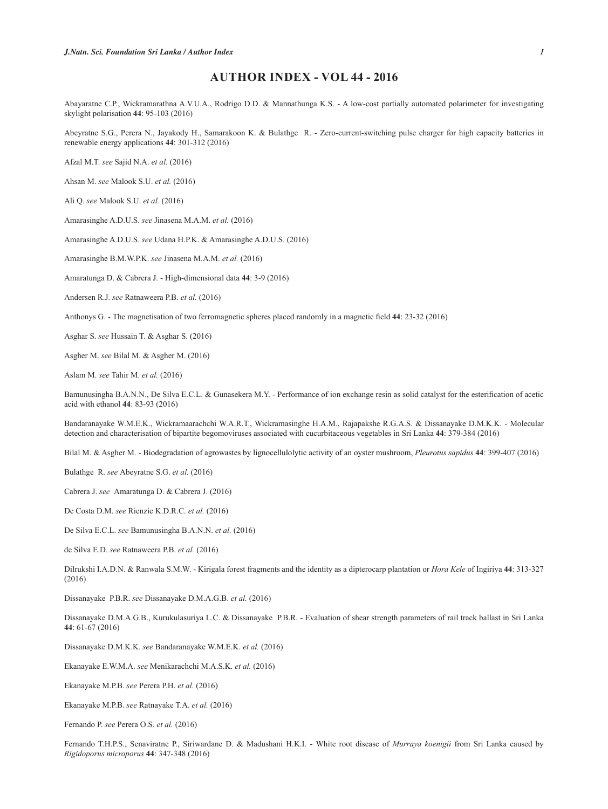## **AUTHOR INDEX - VOL 44 - 2016**

Abayaratne C.P., Wickramarathna A.V.U.A., Rodrigo D.D. & Mannathunga K.S. - A low-cost partially automated polarimeter for investigating skylight polarisation **44**: 95-103 (2016)

Abeyratne S.G., Perera N., Jayakody H., Samarakoon K. & Bulathge R. - Zero-current-switching pulse charger for high capacity batteries in renewable energy applications **44**: 301-312 (2016)

Afzal M.T. *see* Sajid N.A. *et al.* (2016)

Ahsan M. *see* Malook S.U. *et al.* (2016)

Ali Q. *see* Malook S.U. *et al.* (2016)

Amarasinghe A.D.U.S. *see* Jinasena M.A.M. *et al.* (2016)

Amarasinghe A.D.U.S. *see* Udana H.P.K. & Amarasinghe A.D.U.S. (2016)

Amarasinghe B.M.W.P.K. *see* Jinasena M.A.M. *et al.* (2016)

Amaratunga D. & Cabrera J. - High-dimensional data **44**: 3-9 (2016)

Andersen R.J. *see* Ratnaweera P.B. *et al.* (2016)

Anthonys G. - The magnetisation of two ferromagnetic spheres placed randomly in a magnetic field 44: 23-32 (2016)

Asghar S. *see* Hussain T. & Asghar S. (2016)

Asgher M. *see* Bilal M. & Asgher M. (2016)

Aslam M. *see* Tahir M. *et al.* (2016)

Bamunusingha B.A.N.N., De Silva E.C.L. & Gunasekera M.Y. - Performance of ion exchange resin as solid catalyst for the esterification of acetic acid with ethanol **44**: 83-93 (2016)

Bandaranayake W.M.E.K., Wickramaarachchi W.A.R.T., Wickramasinghe H.A.M., Rajapakshe R.G.A.S. & Dissanayake D.M.K.K. - Molecular detection and characterisation of bipartite begomoviruses associated with cucurbitaceous vegetables in Sri Lanka **44**: 379-384 (2016)

Bilal M. & Asgher M. - Biodegradation of agrowastes by lignocellulolytic activity of an oyster mushroom, *Pleurotus sapidus* **44**: 399-407 (2016)

Bulathge R. *see* Abeyratne S.G. *et al.* (2016)

Cabrera J. *see* Amaratunga D. & Cabrera J. (2016)

De Costa D.M. *see* Rienzie K.D.R.C. *et al.* (2016)

De Silva E.C.L. *see* Bamunusingha B.A.N.N. *et al.* (2016)

de Silva E.D. *see* Ratnaweera P.B. *et al.* (2016)

Dilrukshi I.A.D.N. & Ranwala S.M.W. - Kirigala forest fragments and the identity as a dipterocarp plantation or *Hora Kele* of Ingiriya **44**: 313-327 (2016)

Dissanayake P.B.R. *see* Dissanayake D.M.A.G.B. *et al.* (2016)

Dissanayake D.M.A.G.B., Kurukulasuriya L.C. & Dissanayake P.B.R. - Evaluation of shear strength parameters of rail track ballast in Sri Lanka **44**: 61-67 (2016)

Dissanayake D.M.K.K. *see* Bandaranayake W.M.E.K. *et al.* (2016)

Ekanayake E.W.M.A. *see* Menikarachchi M.A.S.K. *et al.* (2016)

Ekanayake M.P.B. *see* Perera P.H. *et al.* (2016)

Ekanayake M.P.B. *see* Ratnayake T.A. *et al.* (2016)

Fernando P. *see* Perera O.S. *et al.* (2016)

Fernando T.H.P.S., Senaviratne P., Siriwardane D. & Madushani H.K.I. - White root disease of *Murraya koenigii* from Sri Lanka caused by *Rigidoporus microporus* **44**: 347-348 (2016)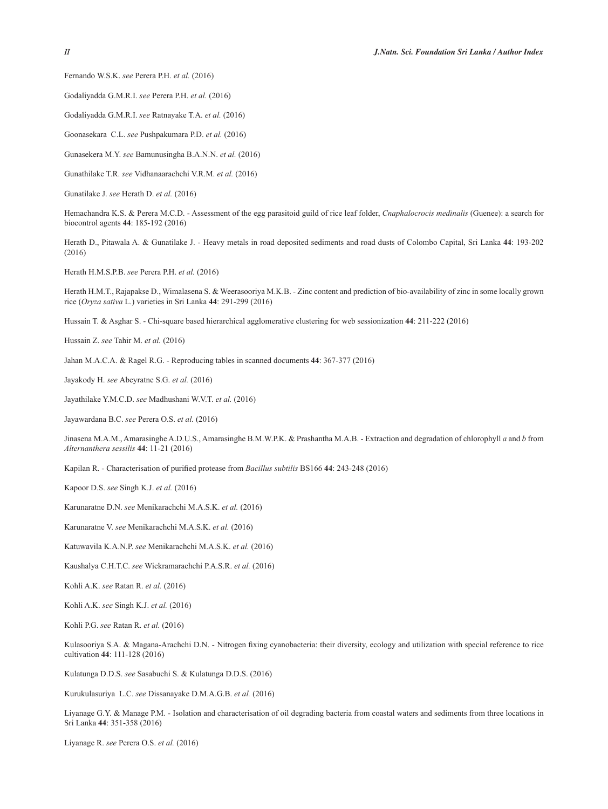Fernando W.S.K. *see* Perera P.H. *et al.* (2016)

Godaliyadda G.M.R.I. *see* Perera P.H. *et al.* (2016)

Godaliyadda G.M.R.I. *see* Ratnayake T.A. *et al.* (2016)

Goonasekara C.L. *see* Pushpakumara P.D. *et al.* (2016)

Gunasekera M.Y. *see* Bamunusingha B.A.N.N. *et al.* (2016)

Gunathilake T.R. *see* Vidhanaarachchi V.R.M. *et al.* (2016)

Gunatilake J. *see* Herath D. *et al.* (2016)

Hemachandra K.S. & Perera M.C.D. - Assessment of the egg parasitoid guild of rice leaf folder, *Cnaphalocrocis medinalis* (Guenee): a search for biocontrol agents **44**: 185-192 (2016)

Herath D., Pitawala A. & Gunatilake J. - Heavy metals in road deposited sediments and road dusts of Colombo Capital, Sri Lanka **44**: 193-202 (2016)

Herath H.M.S.P.B. *see* Perera P.H. *et al.* (2016)

Herath H.M.T., Rajapakse D., Wimalasena S. & Weerasooriya M.K.B. - Zinc content and prediction of bio-availability of zinc in some locally grown rice (*Oryza sativa* L.) varieties in Sri Lanka **44**: 291-299 (2016)

Hussain T. & Asghar S. - Chi-square based hierarchical agglomerative clustering for web sessionization **44**: 211-222 (2016)

Hussain Z. *see* Tahir M. *et al.* (2016)

Jahan M.A.C.A. & Ragel R.G. - Reproducing tables in scanned documents **44**: 367-377 (2016)

Jayakody H. *see* Abeyratne S.G. *et al.* (2016)

Jayathilake Y.M.C.D. *see* Madhushani W.V.T. *et al.* (2016)

Jayawardana B.C. *see* Perera O.S. *et al.* (2016)

Jinasena M.A.M., Amarasinghe A.D.U.S., Amarasinghe B.M.W.P.K. & Prashantha M.A.B. - Extraction and degradation of chlorophyll *a* and *b* from *Alternanthera sessilis* **44**: 11-21 (2016)

Kapilan R. - Characterisation of purified protease from *Bacillus subtilis* BS166 44: 243-248 (2016)

Kapoor D.S. *see* Singh K.J. *et al.* (2016)

Karunaratne D.N. *see* Menikarachchi M.A.S.K. *et al.* (2016)

Karunaratne V. *see* Menikarachchi M.A.S.K. *et al.* (2016)

Katuwavila K.A.N.P. *see* Menikarachchi M.A.S.K. *et al.* (2016)

Kaushalya C.H.T.C. *see* Wickramarachchi P.A.S.R. *et al.* (2016)

Kohli A.K. *see* Ratan R. *et al.* (2016)

Kohli A.K. *see* Singh K.J. *et al.* (2016)

Kohli P.G. *see* Ratan R. *et al.* (2016)

Kulasooriya S.A. & Magana-Arachchi D.N. - Nitrogen fixing cyanobacteria: their diversity, ecology and utilization with special reference to rice cultivation **44**: 111-128 (2016)

Kulatunga D.D.S. *see* Sasabuchi S. & Kulatunga D.D.S. (2016)

Kurukulasuriya L.C. *see* Dissanayake D.M.A.G.B. *et al.* (2016)

Liyanage G.Y. & Manage P.M. - Isolation and characterisation of oil degrading bacteria from coastal waters and sediments from three locations in Sri Lanka **44**: 351-358 (2016)

Liyanage R. *see* Perera O.S. *et al.* (2016)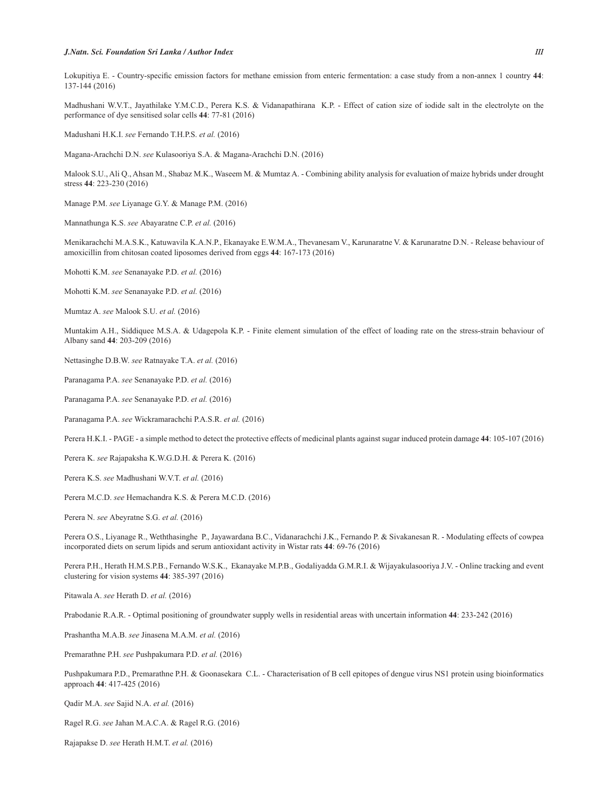## *J.Natn. Sci. Foundation Sri Lanka / Author Index III*

Lokupitiya E. - Country-specific emission factors for methane emission from enteric fermentation: a case study from a non-annex 1 country 44: 137-144 (2016)

Madhushani W.V.T., Jayathilake Y.M.C.D., Perera K.S. & Vidanapathirana K.P. - Effect of cation size of iodide salt in the electrolyte on the performance of dye sensitised solar cells **44**: 77-81 (2016)

Madushani H.K.I. *see* Fernando T.H.P.S. *et al.* (2016)

Magana-Arachchi D.N. *see* Kulasooriya S.A. & Magana-Arachchi D.N. (2016)

Malook S.U., Ali Q., Ahsan M., Shabaz M.K., Waseem M. & Mumtaz A. - Combining ability analysis for evaluation of maize hybrids under drought stress **44**: 223-230 (2016)

Manage P.M. *see* Liyanage G.Y. & Manage P.M. (2016)

Mannathunga K.S. *see* Abayaratne C.P. *et al.* (2016)

Menikarachchi M.A.S.K., Katuwavila K.A.N.P., Ekanayake E.W.M.A., Thevanesam V., Karunaratne V. & Karunaratne D.N. - Release behaviour of amoxicillin from chitosan coated liposomes derived from eggs **44**: 167-173 (2016)

Mohotti K.M. *see* Senanayake P.D. *et al.* (2016)

Mohotti K.M. *see* Senanayake P.D. *et al.* (2016)

Mumtaz A. *see* Malook S.U. *et al.* (2016)

Muntakim A.H., Siddiquee M.S.A. & Udagepola K.P. - Finite element simulation of the effect of loading rate on the stress-strain behaviour of Albany sand **44**: 203-209 (2016)

Nettasinghe D.B.W. *see* Ratnayake T.A. *et al.* (2016)

Paranagama P.A. *see* Senanayake P.D. *et al.* (2016)

Paranagama P.A. *see* Senanayake P.D. *et al.* (2016)

Paranagama P.A. *see* Wickramarachchi P.A.S.R. *et al.* (2016)

Perera H.K.I. - PAGE - a simple method to detect the protective effects of medicinal plants against sugar induced protein damage **44**: 105-107 (2016)

Perera K. *see* Rajapaksha K.W.G.D.H. & Perera K. (2016)

Perera K.S. *see* Madhushani W.V.T. *et al.* (2016)

Perera M.C.D. *see* Hemachandra K.S. & Perera M.C.D. (2016)

Perera N. *see* Abeyratne S.G. *et al.* (2016)

Perera O.S., Liyanage R., Weththasinghe P., Jayawardana B.C., Vidanarachchi J.K., Fernando P. & Sivakanesan R. - Modulating effects of cowpea incorporated diets on serum lipids and serum antioxidant activity in Wistar rats **44**: 69-76 (2016)

Perera P.H., Herath H.M.S.P.B., Fernando W.S.K., Ekanayake M.P.B., Godaliyadda G.M.R.I. & Wijayakulasooriya J.V. - Online tracking and event clustering for vision systems **44**: 385-397 (2016)

Pitawala A. *see* Herath D. *et al.* (2016)

Prabodanie R.A.R. - Optimal positioning of groundwater supply wells in residential areas with uncertain information **44**: 233-242 (2016)

Prashantha M.A.B. *see* Jinasena M.A.M. *et al.* (2016)

Premarathne P.H. *see* Pushpakumara P.D. *et al.* (2016)

Pushpakumara P.D., Premarathne P.H. & Goonasekara C.L. - Characterisation of B cell epitopes of dengue virus NS1 protein using bioinformatics approach **44**: 417-425 (2016)

Qadir M.A. *see* Sajid N.A. *et al.* (2016)

Ragel R.G. *see* Jahan M.A.C.A. & Ragel R.G. (2016)

Rajapakse D. *see* Herath H.M.T. *et al.* (2016)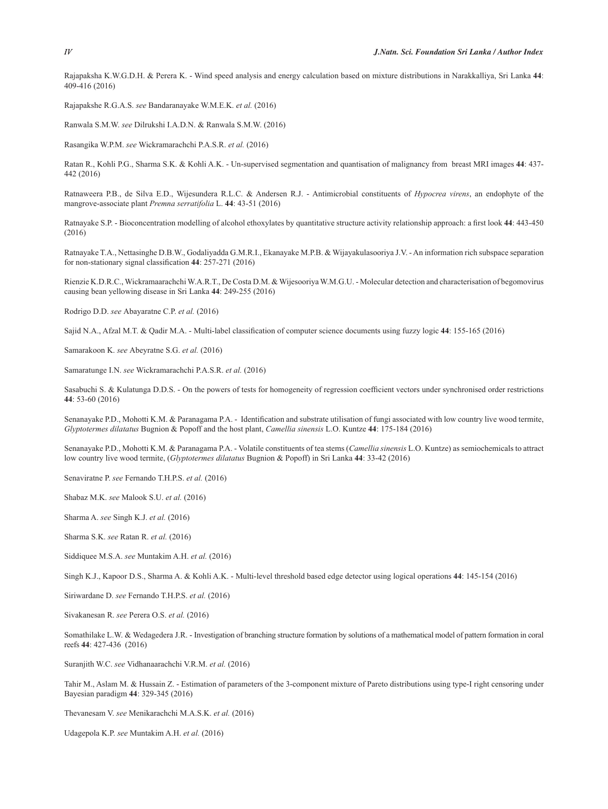Rajapaksha K.W.G.D.H. & Perera K. - Wind speed analysis and energy calculation based on mixture distributions in Narakkalliya, Sri Lanka **44**: 409-416 (2016)

Rajapakshe R.G.A.S. *see* Bandaranayake W.M.E.K. *et al.* (2016)

Ranwala S.M.W. *see* Dilrukshi I.A.D.N. & Ranwala S.M.W. (2016)

Rasangika W.P.M. *see* Wickramarachchi P.A.S.R. *et al.* (2016)

Ratan R., Kohli P.G., Sharma S.K. & Kohli A.K. - Un-supervised segmentation and quantisation of malignancy from breast MRI images **44**: 437- 442 (2016)

Ratnaweera P.B., de Silva E.D., Wijesundera R.L.C. & Andersen R.J. - Antimicrobial constituents of *Hypocrea virens*, an endophyte of the mangrove-associate plant *Premna serratifolia* L. **44**: 43-51 (2016)

Ratnayake S.P. - Bioconcentration modelling of alcohol ethoxylates by quantitative structure activity relationship approach: a first look 44: 443-450 (2016)

Ratnayake T.A., Nettasinghe D.B.W., Godaliyadda G.M.R.I., Ekanayake M.P.B. & Wijayakulasooriya J.V. - An information rich subspace separation for non-stationary signal classification 44: 257-271 (2016)

Rienzie K.D.R.C., Wickramaarachchi W.A.R.T., De Costa D.M. & Wijesooriya W.M.G.U. - Molecular detection and characterisation of begomovirus causing bean yellowing disease in Sri Lanka **44**: 249-255 (2016)

Rodrigo D.D. *see* Abayaratne C.P. *et al.* (2016)

Sajid N.A., Afzal M.T. & Qadir M.A. - Multi-label classification of computer science documents using fuzzy logic 44: 155-165 (2016)

Samarakoon K. *see* Abeyratne S.G. *et al.* (2016)

Samaratunge I.N. *see* Wickramarachchi P.A.S.R. *et al.* (2016)

Sasabuchi S. & Kulatunga D.D.S. - On the powers of tests for homogeneity of regression coefficient vectors under synchronised order restrictions **44**: 53-60 (2016)

Senanayake P.D., Mohotti K.M. & Paranagama P.A. - Identification and substrate utilisation of fungi associated with low country live wood termite, *Glyptotermes dilatatus* Bugnion & Popoff and the host plant, *Camellia sinensis* L.O. Kuntze **44**: 175-184 (2016)

Senanayake P.D., Mohotti K.M. & Paranagama P.A. - Volatile constituents of tea stems (*Camellia sinensis* L.O. Kuntze) as semiochemicals to attract low country live wood termite, (*Glyptotermes dilatatus* Bugnion & Popoff) in Sri Lanka **44**: 33-42 (2016)

Senaviratne P. *see* Fernando T.H.P.S. *et al.* (2016)

Shabaz M.K. *see* Malook S.U. *et al.* (2016)

Sharma A. *see* Singh K.J. *et al.* (2016)

Sharma S.K. *see* Ratan R. *et al.* (2016)

Siddiquee M.S.A. *see* Muntakim A.H. *et al.* (2016)

Singh K.J., Kapoor D.S., Sharma A. & Kohli A.K. - Multi-level threshold based edge detector using logical operations **44**: 145-154 (2016)

Siriwardane D. *see* Fernando T.H.P.S. *et al.* (2016)

Sivakanesan R. *see* Perera O.S. *et al.* (2016)

Somathilake L.W. & Wedagedera J.R. - Investigation of branching structure formation by solutions of a mathematical model of pattern formation in coral reefs **44**: 427-436 (2016)

Suranjith W.C. *see* Vidhanaarachchi V.R.M. *et al.* (2016)

Tahir M., Aslam M. & Hussain Z. - Estimation of parameters of the 3-component mixture of Pareto distributions using type-I right censoring under Bayesian paradigm **44**: 329-345 (2016)

Thevanesam V. *see* Menikarachchi M.A.S.K. *et al.* (2016)

Udagepola K.P. *see* Muntakim A.H. *et al.* (2016)